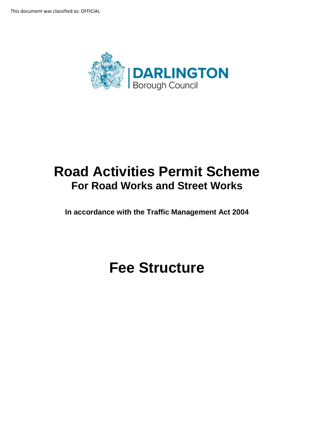

## **Road Activities Permit Scheme For Road Works and Street Works**

 **In accordance with the Traffic Management Act 2004** 

# **Fee Structure**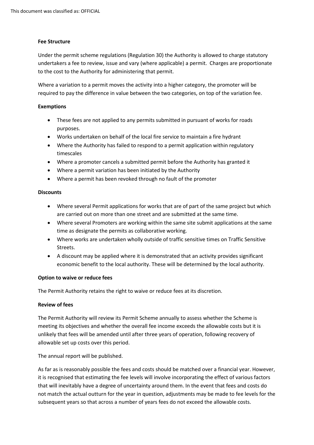#### **Fee Structure**

 Under the permit scheme regulations (Regulation 30) the Authority is allowed to charge statutory undertakers a fee to review, issue and vary (where applicable) a permit. Charges are proportionate to the cost to the Authority for administering that permit.

Where a variation to a permit moves the activity into a higher category, the promoter will be required to pay the difference in value between the two categories, on top of the variation fee.

#### **Exemptions**

- These fees are not applied to any permits submitted in pursuant of works for roads purposes.
- Works undertaken on behalf of the local fire service to maintain a fire hydrant
- Where the Authority has failed to respond to a permit application within regulatory timescales
- Where a promoter cancels a submitted permit before the Authority has granted it
- Where a permit variation has been initiated by the Authority
- Where a permit has been revoked through no fault of the promoter

#### **Discounts**

- Where several Permit applications for works that are of part of the same project but which are carried out on more than one street and are submitted at the same time.
- Where several Promoters are working within the same site submit applications at the same time as designate the permits as collaborative working.
- Where works are undertaken wholly outside of traffic sensitive times on Traffic Sensitive Streets.
- A discount may be applied where it is demonstrated that an activity provides significant economic benefit to the local authority. These will be determined by the local authority.

#### **Option to waive or reduce fees**

The Permit Authority retains the right to waive or reduce fees at its discretion.

### **Review of fees**

 The Permit Authority will review its Permit Scheme annually to assess whether the Scheme is meeting its objectives and whether the overall fee income exceeds the allowable costs but it is unlikely that fees will be amended until after three years of operation, following recovery of allowable set up costs over this period.

The annual report will be published.

As far as is reasonably possible the fees and costs should be matched over a financial year. However, it is recognised that estimating the fee levels will involve incorporating the effect of various factors that will inevitably have a degree of uncertainty around them. In the event that fees and costs do not match the actual outturn for the year in question, adjustments may be made to fee levels for the subsequent years so that across a number of years fees do not exceed the allowable costs.